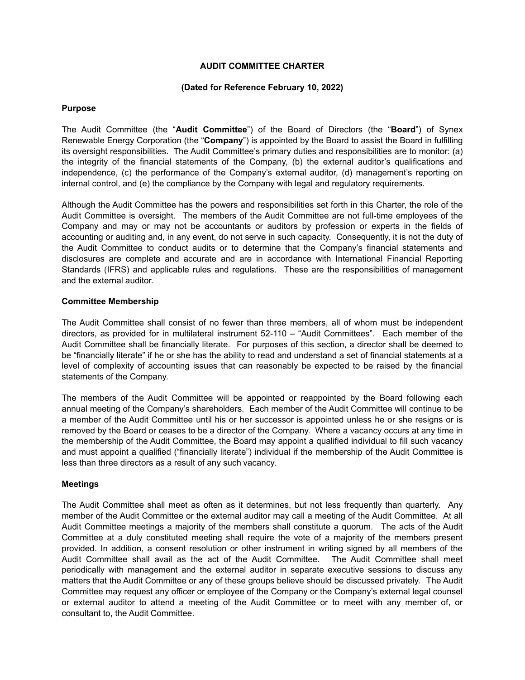## **AUDIT COMMITTEE CHARTER**

### **(Dated for Reference February 10, 2022)**

### **Purpose**

The Audit Committee (the "**Audit Committee**") of the Board of Directors (the "**Board**") of Synex Renewable Energy Corporation (the "**Company**") is appointed by the Board to assist the Board in fulfilling its oversight responsibilities. The Audit Committee's primary duties and responsibilities are to monitor: (a) the integrity of the financial statements of the Company, (b) the external auditor's qualifications and independence, (c) the performance of the Company's external auditor, (d) management's reporting on internal control, and (e) the compliance by the Company with legal and regulatory requirements.

Although the Audit Committee has the powers and responsibilities set forth in this Charter, the role of the Audit Committee is oversight. The members of the Audit Committee are not full-time employees of the Company and may or may not be accountants or auditors by profession or experts in the fields of accounting or auditing and, in any event, do not serve in such capacity. Consequently, it is not the duty of the Audit Committee to conduct audits or to determine that the Company's financial statements and disclosures are complete and accurate and are in accordance with International Financial Reporting Standards (IFRS) and applicable rules and regulations. These are the responsibilities of management and the external auditor.

## **Committee Membership**

The Audit Committee shall consist of no fewer than three members, all of whom must be independent directors, as provided for in multilateral instrument 52-110 – "Audit Committees". Each member of the Audit Committee shall be financially literate. For purposes of this section, a director shall be deemed to be "financially literate" if he or she has the ability to read and understand a set of financial statements at a level of complexity of accounting issues that can reasonably be expected to be raised by the financial statements of the Company.

The members of the Audit Committee will be appointed or reappointed by the Board following each annual meeting of the Company's shareholders. Each member of the Audit Committee will continue to be a member of the Audit Committee until his or her successor is appointed unless he or she resigns or is removed by the Board or ceases to be a director of the Company. Where a vacancy occurs at any time in the membership of the Audit Committee, the Board may appoint a qualified individual to fill such vacancy and must appoint a qualified ("financially literate") individual if the membership of the Audit Committee is less than three directors as a result of any such vacancy.

# **Meetings**

The Audit Committee shall meet as often as it determines, but not less frequently than quarterly. Any member of the Audit Committee or the external auditor may call a meeting of the Audit Committee. At all Audit Committee meetings a majority of the members shall constitute a quorum. The acts of the Audit Committee at a duly constituted meeting shall require the vote of a majority of the members present provided. In addition, a consent resolution or other instrument in writing signed by all members of the Audit Committee shall avail as the act of the Audit Committee. The Audit Committee shall meet periodically with management and the external auditor in separate executive sessions to discuss any matters that the Audit Committee or any of these groups believe should be discussed privately. The Audit Committee may request any officer or employee of the Company or the Company's external legal counsel or external auditor to attend a meeting of the Audit Committee or to meet with any member of, or consultant to, the Audit Committee.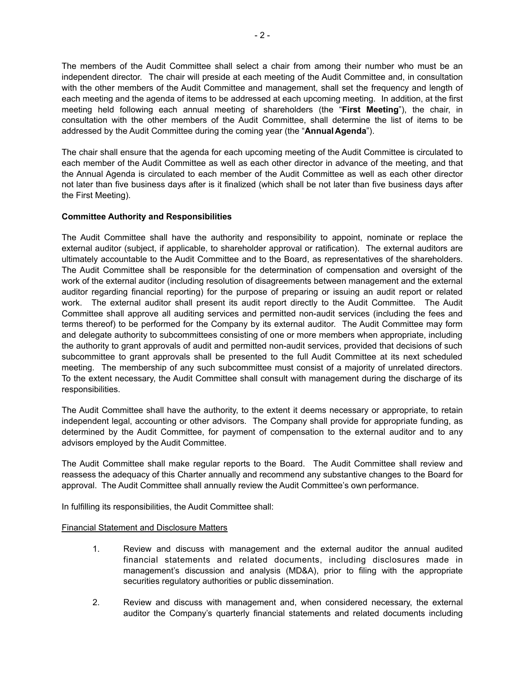The members of the Audit Committee shall select a chair from among their number who must be an independent director. The chair will preside at each meeting of the Audit Committee and, in consultation with the other members of the Audit Committee and management, shall set the frequency and length of each meeting and the agenda of items to be addressed at each upcoming meeting. In addition, at the first meeting held following each annual meeting of shareholders (the "**First Meeting**"), the chair, in consultation with the other members of the Audit Committee, shall determine the list of items to be addressed by the Audit Committee during the coming year (the "**AnnualAgenda**").

The chair shall ensure that the agenda for each upcoming meeting of the Audit Committee is circulated to each member of the Audit Committee as well as each other director in advance of the meeting, and that the Annual Agenda is circulated to each member of the Audit Committee as well as each other director not later than five business days after is it finalized (which shall be not later than five business days after the First Meeting).

# **Committee Authority and Responsibilities**

The Audit Committee shall have the authority and responsibility to appoint, nominate or replace the external auditor (subject, if applicable, to shareholder approval or ratification). The external auditors are ultimately accountable to the Audit Committee and to the Board, as representatives of the shareholders. The Audit Committee shall be responsible for the determination of compensation and oversight of the work of the external auditor (including resolution of disagreements between management and the external auditor regarding financial reporting) for the purpose of preparing or issuing an audit report or related work. The external auditor shall present its audit report directly to the Audit Committee. The Audit Committee shall approve all auditing services and permitted non-audit services (including the fees and terms thereof) to be performed for the Company by its external auditor. The Audit Committee may form and delegate authority to subcommittees consisting of one or more members when appropriate, including the authority to grant approvals of audit and permitted non-audit services, provided that decisions of such subcommittee to grant approvals shall be presented to the full Audit Committee at its next scheduled meeting. The membership of any such subcommittee must consist of a majority of unrelated directors. To the extent necessary, the Audit Committee shall consult with management during the discharge of its responsibilities.

The Audit Committee shall have the authority, to the extent it deems necessary or appropriate, to retain independent legal, accounting or other advisors. The Company shall provide for appropriate funding, as determined by the Audit Committee, for payment of compensation to the external auditor and to any advisors employed by the Audit Committee.

The Audit Committee shall make regular reports to the Board. The Audit Committee shall review and reassess the adequacy of this Charter annually and recommend any substantive changes to the Board for approval. The Audit Committee shall annually review the Audit Committee's own performance.

In fulfilling its responsibilities, the Audit Committee shall:

# Financial Statement and Disclosure Matters

- 1. Review and discuss with management and the external auditor the annual audited financial statements and related documents, including disclosures made in management's discussion and analysis (MD&A), prior to filing with the appropriate securities regulatory authorities or public dissemination.
- 2. Review and discuss with management and, when considered necessary, the external auditor the Company's quarterly financial statements and related documents including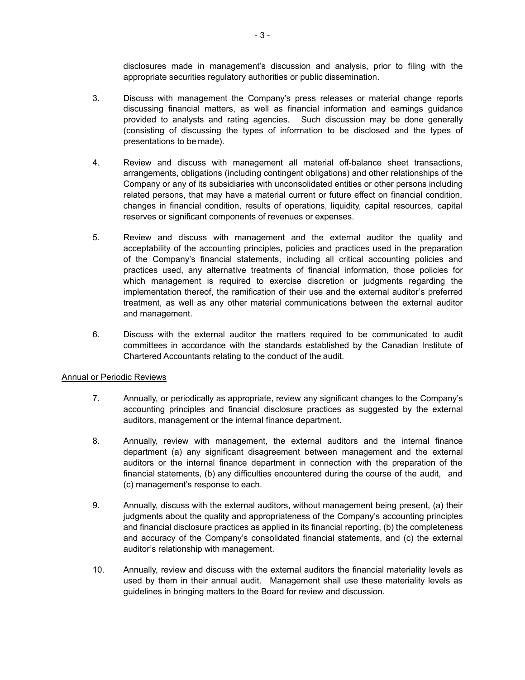disclosures made in management's discussion and analysis, prior to filing with the appropriate securities regulatory authorities or public dissemination.

- 3. Discuss with management the Company's press releases or material change reports discussing financial matters, as well as financial information and earnings guidance provided to analysts and rating agencies. Such discussion may be done generally (consisting of discussing the types of information to be disclosed and the types of presentations to be made).
- 4. Review and discuss with management all material off-balance sheet transactions, arrangements, obligations (including contingent obligations) and other relationships of the Company or any of its subsidiaries with unconsolidated entities or other persons including related persons, that may have a material current or future effect on financial condition, changes in financial condition, results of operations, liquidity, capital resources, capital reserves or significant components of revenues or expenses.
- 5. Review and discuss with management and the external auditor the quality and acceptability of the accounting principles, policies and practices used in the preparation of the Company's financial statements, including all critical accounting policies and practices used, any alternative treatments of financial information, those policies for which management is required to exercise discretion or judgments regarding the implementation thereof, the ramification of their use and the external auditor's preferred treatment, as well as any other material communications between the external auditor and management.
- 6. Discuss with the external auditor the matters required to be communicated to audit committees in accordance with the standards established by the Canadian Institute of Chartered Accountants relating to the conduct of the audit.

# Annual or Periodic Reviews

- 7. Annually, or periodically as appropriate, review any significant changes to the Company's accounting principles and financial disclosure practices as suggested by the external auditors, management or the internal finance department.
- 8. Annually, review with management, the external auditors and the internal finance department (a) any significant disagreement between management and the external auditors or the internal finance department in connection with the preparation of the financial statements, (b) any difficulties encountered during the course of the audit, and (c) management's response to each.
- 9. Annually, discuss with the external auditors, without management being present, (a) their judgments about the quality and appropriateness of the Company's accounting principles and financial disclosure practices as applied in its financial reporting, (b) the completeness and accuracy of the Company's consolidated financial statements, and (c) the external auditor's relationship with management.
- 10. Annually, review and discuss with the external auditors the financial materiality levels as used by them in their annual audit. Management shall use these materiality levels as guidelines in bringing matters to the Board for review and discussion.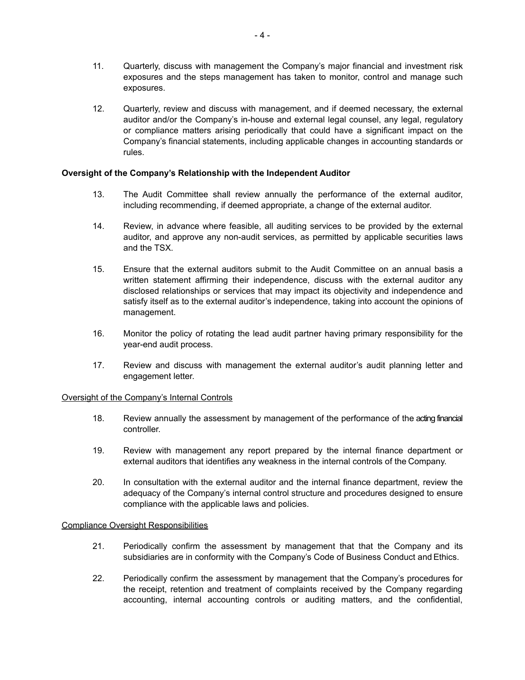- 11. Quarterly, discuss with management the Company's major financial and investment risk exposures and the steps management has taken to monitor, control and manage such exposures.
- 12. Quarterly, review and discuss with management, and if deemed necessary, the external auditor and/or the Company's in-house and external legal counsel, any legal, regulatory or compliance matters arising periodically that could have a significant impact on the Company's financial statements, including applicable changes in accounting standards or rules.

## **Oversight of the Company's Relationship with the Independent Auditor**

- 13. The Audit Committee shall review annually the performance of the external auditor, including recommending, if deemed appropriate, a change of the external auditor.
- 14. Review, in advance where feasible, all auditing services to be provided by the external auditor, and approve any non-audit services, as permitted by applicable securities laws and the TSX.
- 15. Ensure that the external auditors submit to the Audit Committee on an annual basis a written statement affirming their independence, discuss with the external auditor any disclosed relationships or services that may impact its objectivity and independence and satisfy itself as to the external auditor's independence, taking into account the opinions of management.
- 16. Monitor the policy of rotating the lead audit partner having primary responsibility for the year-end audit process.
- 17. Review and discuss with management the external auditor's audit planning letter and engagement letter.

#### Oversight of the Company's Internal Controls

- 18. Review annually the assessment by management of the performance of the acting financial controller.
- 19. Review with management any report prepared by the internal finance department or external auditors that identifies any weakness in the internal controls of the Company.
- 20. In consultation with the external auditor and the internal finance department, review the adequacy of the Company's internal control structure and procedures designed to ensure compliance with the applicable laws and policies.

#### Compliance Oversight Responsibilities

- 21. Periodically confirm the assessment by management that that the Company and its subsidiaries are in conformity with the Company's Code of Business Conduct and Ethics.
- 22. Periodically confirm the assessment by management that the Company's procedures for the receipt, retention and treatment of complaints received by the Company regarding accounting, internal accounting controls or auditing matters, and the confidential,